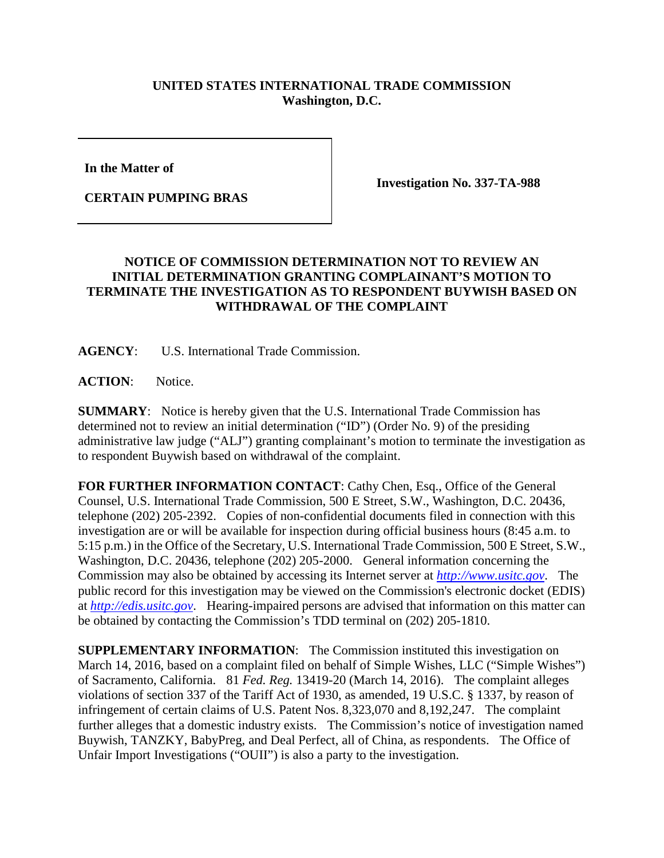## **UNITED STATES INTERNATIONAL TRADE COMMISSION Washington, D.C.**

**In the Matter of** 

**CERTAIN PUMPING BRAS**

**Investigation No. 337-TA-988**

## **NOTICE OF COMMISSION DETERMINATION NOT TO REVIEW AN INITIAL DETERMINATION GRANTING COMPLAINANT'S MOTION TO TERMINATE THE INVESTIGATION AS TO RESPONDENT BUYWISH BASED ON WITHDRAWAL OF THE COMPLAINT**

**AGENCY**: U.S. International Trade Commission.

ACTION: Notice.

**SUMMARY**: Notice is hereby given that the U.S. International Trade Commission has determined not to review an initial determination ("ID") (Order No. 9) of the presiding administrative law judge ("ALJ") granting complainant's motion to terminate the investigation as to respondent Buywish based on withdrawal of the complaint.

**FOR FURTHER INFORMATION CONTACT**: Cathy Chen, Esq., Office of the General Counsel, U.S. International Trade Commission, 500 E Street, S.W., Washington, D.C. 20436, telephone (202) 205-2392. Copies of non-confidential documents filed in connection with this investigation are or will be available for inspection during official business hours (8:45 a.m. to 5:15 p.m.) in the Office of the Secretary, U.S. International Trade Commission, 500 E Street, S.W., Washington, D.C. 20436, telephone (202) 205-2000. General information concerning the Commission may also be obtained by accessing its Internet server at *[http://www.usitc.gov](http://www.usitc.gov/)*. The public record for this investigation may be viewed on the Commission's electronic docket (EDIS) at *[http://edis.usitc.gov](http://edis.usitc.gov/)*. Hearing-impaired persons are advised that information on this matter can be obtained by contacting the Commission's TDD terminal on (202) 205-1810.

**SUPPLEMENTARY INFORMATION**: The Commission instituted this investigation on March 14, 2016, based on a complaint filed on behalf of Simple Wishes, LLC ("Simple Wishes") of Sacramento, California. 81 *Fed. Reg.* 13419-20 (March 14, 2016). The complaint alleges violations of section 337 of the Tariff Act of 1930, as amended, 19 U.S.C. § 1337, by reason of infringement of certain claims of U.S. Patent Nos. 8,323,070 and 8,192,247. The complaint further alleges that a domestic industry exists. The Commission's notice of investigation named Buywish, TANZKY, BabyPreg, and Deal Perfect, all of China, as respondents. The Office of Unfair Import Investigations ("OUII") is also a party to the investigation.